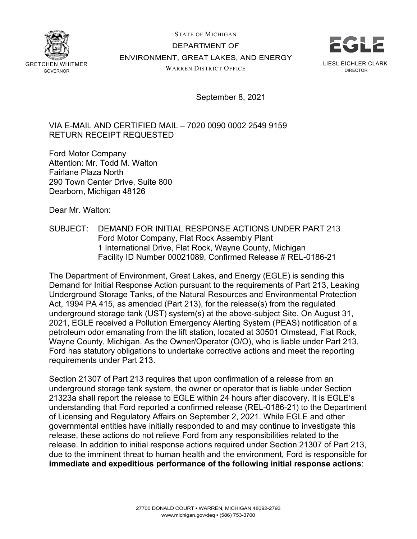

STATE OF MICHIGAN DEPARTMENT OF ENVIRONMENT, GREAT LAKES, AND ENERGY WARREN DISTRICT OFFICE



September 8, 2021

VIA E-MAIL AND CERTIFIED MAIL – 7020 0090 0002 2549 9159 RETURN RECEIPT REQUESTED

Ford Motor Company Attention: Mr. Todd M. Walton Fairlane Plaza North 290 Town Center Drive, Suite 800 Dearborn, Michigan 48126

Dear Mr. Walton:

SUBJECT: DEMAND FOR INITIAL RESPONSE ACTIONS UNDER PART 213 Ford Motor Company, Flat Rock Assembly Plant 1 International Drive, Flat Rock, Wayne County, Michigan Facility ID Number 00021089, Confirmed Release # REL-0186-21

The Department of Environment, Great Lakes, and Energy (EGLE) is sending this Demand for Initial Response Action pursuant to the requirements of Part 213, Leaking Underground Storage Tanks, of the Natural Resources and Environmental Protection Act, 1994 PA 415, as amended (Part 213), for the release(s) from the regulated underground storage tank (UST) system(s) at the above-subject Site. On August 31, 2021, EGLE received a Pollution Emergency Alerting System (PEAS) notification of a petroleum odor emanating from the lift station, located at 30501 Olmstead, Flat Rock, Wayne County, Michigan. As the Owner/Operator (O/O), who is liable under Part 213, Ford has statutory obligations to undertake corrective actions and meet the reporting requirements under Part 213.

Section 21307 of Part 213 requires that upon confirmation of a release from an underground storage tank system, the owner or operator that is liable under Section 21323a shall report the release to EGLE within 24 hours after discovery. It is EGLE's understanding that Ford reported a confirmed release (REL-0186-21) to the Department of Licensing and Regulatory Affairs on September 2, 2021. While EGLE and other governmental entities have initially responded to and may continue to investigate this release, these actions do not relieve Ford from any responsibilities related to the release. In addition to initial response actions required under Section 21307 of Part 213, due to the imminent threat to human health and the environment, Ford is responsible for **immediate and expeditious performance of the following initial response actions**: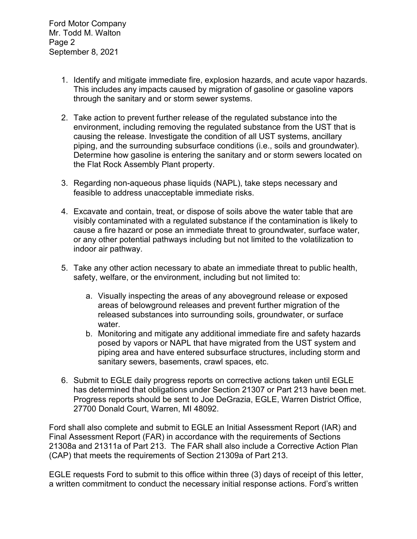- 1. Identify and mitigate immediate fire, explosion hazards, and acute vapor hazards. This includes any impacts caused by migration of gasoline or gasoline vapors through the sanitary and or storm sewer systems.
- 2. Take action to prevent further release of the regulated substance into the environment, including removing the regulated substance from the UST that is causing the release. Investigate the condition of all UST systems, ancillary piping, and the surrounding subsurface conditions (i.e., soils and groundwater). Determine how gasoline is entering the sanitary and or storm sewers located on the Flat Rock Assembly Plant property.
- 3. Regarding non-aqueous phase liquids (NAPL), take steps necessary and feasible to address unacceptable immediate risks.
- 4. Excavate and contain, treat, or dispose of soils above the water table that are visibly contaminated with a regulated substance if the contamination is likely to cause a fire hazard or pose an immediate threat to groundwater, surface water, or any other potential pathways including but not limited to the volatilization to indoor air pathway.
- 5. Take any other action necessary to abate an immediate threat to public health, safety, welfare, or the environment, including but not limited to:
	- a. Visually inspecting the areas of any aboveground release or exposed areas of belowground releases and prevent further migration of the released substances into surrounding soils, groundwater, or surface water.
	- b. Monitoring and mitigate any additional immediate fire and safety hazards posed by vapors or NAPL that have migrated from the UST system and piping area and have entered subsurface structures, including storm and sanitary sewers, basements, crawl spaces, etc.
- 6. Submit to EGLE daily progress reports on corrective actions taken until EGLE has determined that obligations under Section 21307 or Part 213 have been met. Progress reports should be sent to Joe DeGrazia, EGLE, Warren District Office, 27700 Donald Court, Warren, MI 48092.

Ford shall also complete and submit to EGLE an Initial Assessment Report (IAR) and Final Assessment Report (FAR) in accordance with the requirements of Sections 21308a and 21311a of Part 213. The FAR shall also include a Corrective Action Plan (CAP) that meets the requirements of Section 21309a of Part 213.

EGLE requests Ford to submit to this office within three (3) days of receipt of this letter, a written commitment to conduct the necessary initial response actions. Ford's written